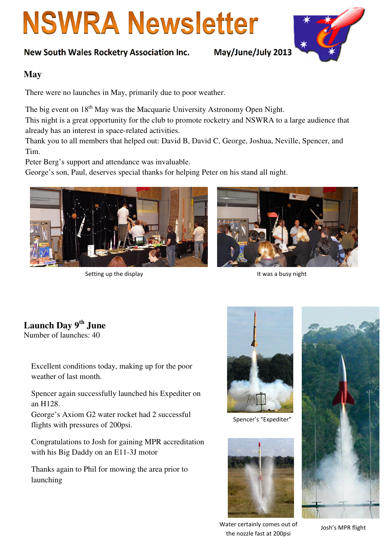# **NSWRA Newsletter**

#### New South Wales Rocketry Association Inc. May/June/July 2013



#### **May**

There were no launches in May, primarily due to poor weather.

The big event on 18<sup>th</sup> May was the Macquarie University Astronomy Open Night.

This night is a great opportunity for the club to promote rocketry and NSWRA to a large audience that already has an interest in space-related activities.

Thank you to all members that helped out: David B, David C, George, Joshua, Neville, Spencer, and Tim.

Peter Berg's support and attendance was invaluable.

George's son, Paul, deserves special thanks for helping Peter on his stand all night.



Setting up the display It was a busy night



# **Launch Day 9th June**

Number of launches: 40

Excellent conditions today, making up for the poor weather of last month.

Spencer again successfully launched his Expediter on an H128.

George's Axiom G2 water rocket had 2 successful flights with pressures of 200psi.

Congratulations to Josh for gaining MPR accreditation with his Big Daddy on an E11-3J motor

Thanks again to Phil for mowing the area prior to launching



Spencer's "Expediter"





Water certainly comes out of the nozzle fast at 200psi

Josh's MPR flight